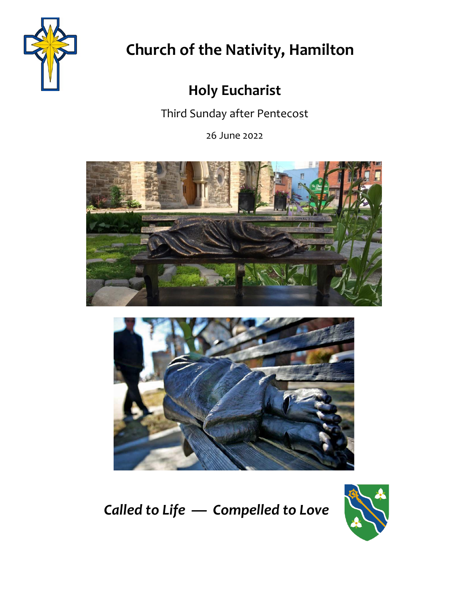

# **Church of the Nativity, Hamilton**

# **Holy Eucharist**

Third Sunday after Pentecost

26 June 2022





*Called to Life — Compelled to Love*

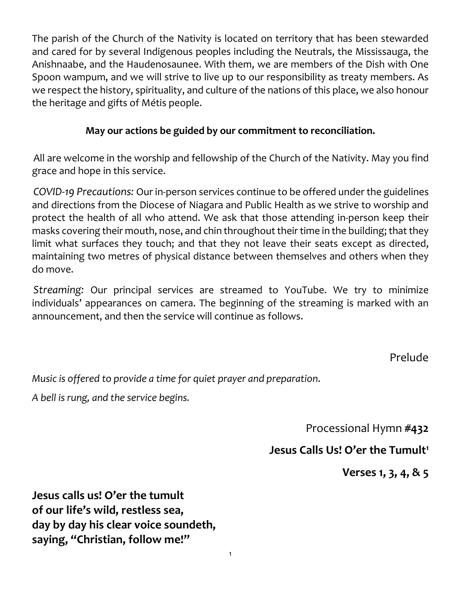The parish of the Church of the Nativity is located on territory that has been stewarded and cared for by several Indigenous peoples including the Neutrals, the Mississauga, the Anishnaabe, and the Haudenosaunee. With them, we are members of the Dish with One Spoon wampum, and we will strive to live up to our responsibility as treaty members. As we respect the history, spirituality, and culture of the nations of this place, we also honour the heritage and gifts of Métis people.

#### **May our actions be guided by our commitment to reconciliation.**

All are welcome in the worship and fellowship of the Church of the Nativity. May you find grace and hope in this service.

*COVID-19 Precautions:* Our in-person services continue to be offered under the guidelines and directions from the Diocese of Niagara and Public Health as we strive to worship and protect the health of all who attend. We ask that those attending in-person keep their masks covering their mouth, nose, and chin throughout their time in the building; that they limit what surfaces they touch; and that they not leave their seats except as directed, maintaining two metres of physical distance between themselves and others when they do move.

*Streaming:* Our principal services are streamed to YouTube. We try to minimize individuals' appearances on camera. The beginning of the streaming is marked with an announcement, and then the service will continue as follows.

1

Prelude

*Music is offered to provide a time for quiet prayer and preparation*.

*A bell is rung, and the service begins.*

Processional Hymn **#432** 

**Jesus Calls Us! O'er the Tumult<sup>1</sup>**

**Verses 1, 3, 4, & 5**

**Jesus calls us! O'er the tumult of our life's wild, restless sea, day by day his clear voice soundeth, saying, "Christian, follow me!"**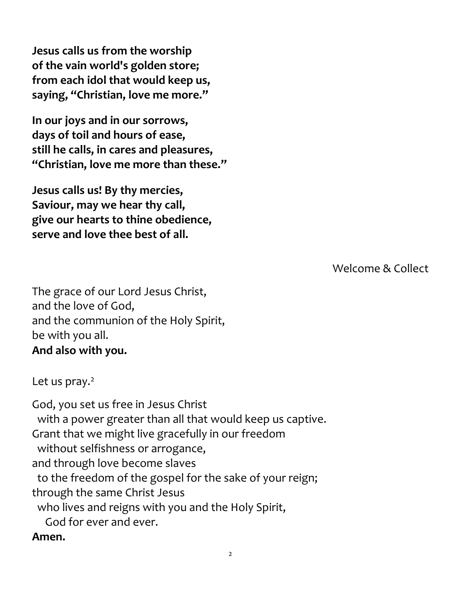**Jesus calls us from the worship of the vain world's golden store; from each idol that would keep us, saying, "Christian, love me more."**

**In our joys and in our sorrows, days of toil and hours of ease, still he calls, in cares and pleasures, "Christian, love me more than these."**

**Jesus calls us! By thy mercies, Saviour, may we hear thy call, give our hearts to thine obedience, serve and love thee best of all.**

Welcome & Collect

The grace of our Lord Jesus Christ, and the love of God, and the communion of the Holy Spirit, be with you all. **And also with you.**

Let us pray.<sup>2</sup>

God, you set us free in Jesus Christ with a power greater than all that would keep us captive. Grant that we might live gracefully in our freedom without selfishness or arrogance, and through love become slaves to the freedom of the gospel for the sake of your reign; through the same Christ Jesus who lives and reigns with you and the Holy Spirit, God for ever and ever. **Amen.**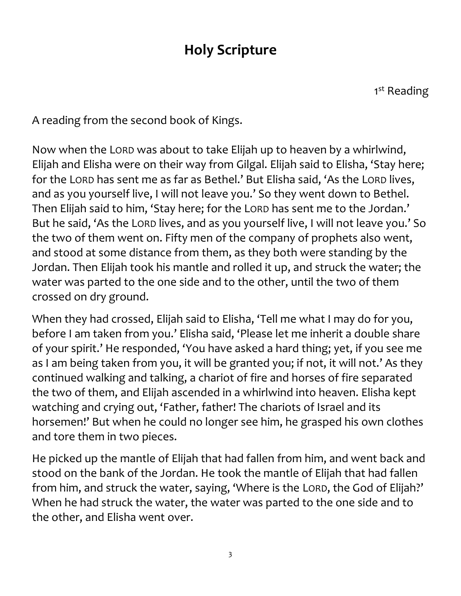## **Holy Scripture**

1<sup>st</sup> Reading

A reading from the second book of Kings.

Now when the LORD was about to take Elijah up to heaven by a whirlwind, Elijah and Elisha were on their way from Gilgal. Elijah said to Elisha, 'Stay here; for the LORD has sent me as far as Bethel.' But Elisha said, 'As the LORD lives, and as you yourself live, I will not leave you.' So they went down to Bethel. Then Elijah said to him, 'Stay here; for the LORD has sent me to the Jordan.' But he said, 'As the LORD lives, and as you yourself live, I will not leave you.' So the two of them went on. Fifty men of the company of prophets also went, and stood at some distance from them, as they both were standing by the Jordan. Then Elijah took his mantle and rolled it up, and struck the water; the water was parted to the one side and to the other, until the two of them crossed on dry ground.

When they had crossed, Elijah said to Elisha, 'Tell me what I may do for you, before I am taken from you.' Elisha said, 'Please let me inherit a double share of your spirit.' He responded, 'You have asked a hard thing; yet, if you see me as I am being taken from you, it will be granted you; if not, it will not.' As they continued walking and talking, a chariot of fire and horses of fire separated the two of them, and Elijah ascended in a whirlwind into heaven. Elisha kept watching and crying out, 'Father, father! The chariots of Israel and its horsemen!' But when he could no longer see him, he grasped his own clothes and tore them in two pieces.

He picked up the mantle of Elijah that had fallen from him, and went back and stood on the bank of the Jordan. He took the mantle of Elijah that had fallen from him, and struck the water, saying, 'Where is the LORD, the God of Elijah?' When he had struck the water, the water was parted to the one side and to the other, and Elisha went over.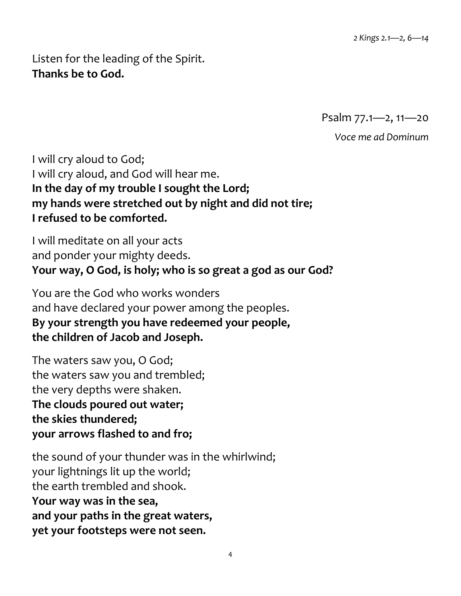#### Listen for the leading of the Spirit. **Thanks be to God.**

Psalm 77.1—2, 11—20

*Voce me ad Dominum*

I will cry aloud to God; I will cry aloud, and God will hear me. **In the day of my trouble I sought the Lord; my hands were stretched out by night and did not tire; I refused to be comforted.**

I will meditate on all your acts and ponder your mighty deeds. **Your way, O God, is holy; who is so great a god as our God?**

You are the God who works wonders and have declared your power among the peoples. **By your strength you have redeemed your people, the children of Jacob and Joseph.**

The waters saw you, O God; the waters saw you and trembled; the very depths were shaken. **The clouds poured out water; the skies thundered; your arrows flashed to and fro;**

the sound of your thunder was in the whirlwind; your lightnings lit up the world; the earth trembled and shook. **Your way was in the sea, and your paths in the great waters, yet your footsteps were not seen.**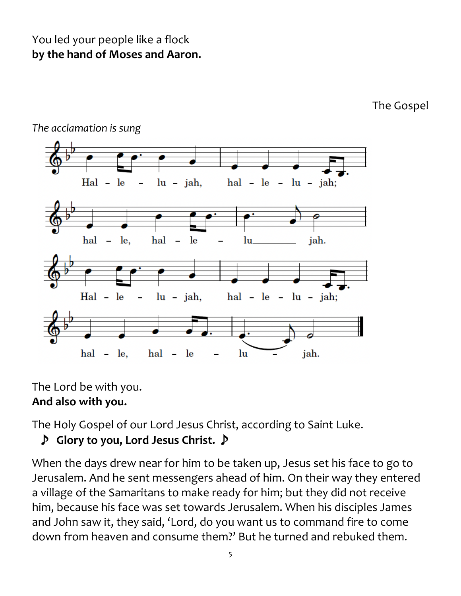### You led your people like a flock **by the hand of Moses and Aaron.**

The Gospel



*The acclamation is sung*

The Lord be with you. **And also with you.**

The Holy Gospel of our Lord Jesus Christ, according to Saint Luke.

### ♪ **Glory to you, Lord Jesus Christ.** ♪

When the days drew near for him to be taken up, Jesus set his face to go to Jerusalem. And he sent messengers ahead of him. On their way they entered a village of the Samaritans to make ready for him; but they did not receive him, because his face was set towards Jerusalem. When his disciples James and John saw it, they said, 'Lord, do you want us to command fire to come down from heaven and consume them?' But he turned and rebuked them.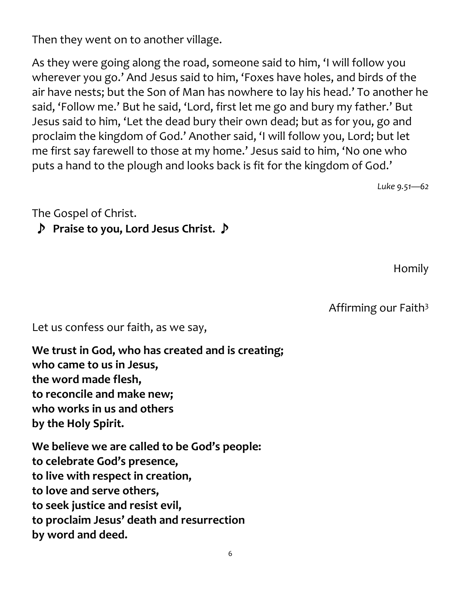6

Then they went on to another village.

As they were going along the road, someone said to him, 'I will follow you wherever you go.' And Jesus said to him, 'Foxes have holes, and birds of the air have nests; but the Son of Man has nowhere to lay his head.' To another he said, 'Follow me.' But he said, 'Lord, first let me go and bury my father.' But Jesus said to him, 'Let the dead bury their own dead; but as for you, go and proclaim the kingdom of God.' Another said, 'I will follow you, Lord; but let me first say farewell to those at my home.' Jesus said to him, 'No one who puts a hand to the plough and looks back is fit for the kingdom of God.'

*Luke 9.51—62* 

The Gospel of Christ.

♪ **Praise to you, Lord Jesus Christ.** ♪

Homily

Affirming our Faith<sup>3</sup>

Let us confess our faith, as we say,

**We trust in God, who has created and is creating; who came to us in Jesus, the word made flesh, to reconcile and make new; who works in us and others by the Holy Spirit.**

**We believe we are called to be God's people: to celebrate God's presence, to live with respect in creation, to love and serve others, to seek justice and resist evil, to proclaim Jesus' death and resurrection by word and deed.**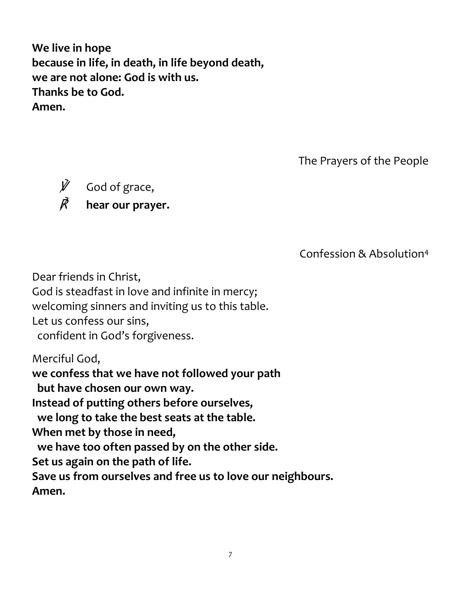**We live in hope because in life, in death, in life beyond death, we are not alone: God is with us. Thanks be to God. Amen.**

The Prayers of the People

Confession & Absolution<sup>4</sup>

Dear friends in Christ,

 $\cancel{V}$  God of grace,

 $\vec{R}$  hear our prayer.

God is steadfast in love and infinite in mercy;

welcoming sinners and inviting us to this table.

Let us confess our sins,

confident in God's forgiveness.

Merciful God,

**we confess that we have not followed your path**

 **but have chosen our own way.**

**Instead of putting others before ourselves,**

 **we long to take the best seats at the table.**

**When met by those in need,**

 **we have too often passed by on the other side.**

**Set us again on the path of life.**

**Save us from ourselves and free us to love our neighbours. Amen.**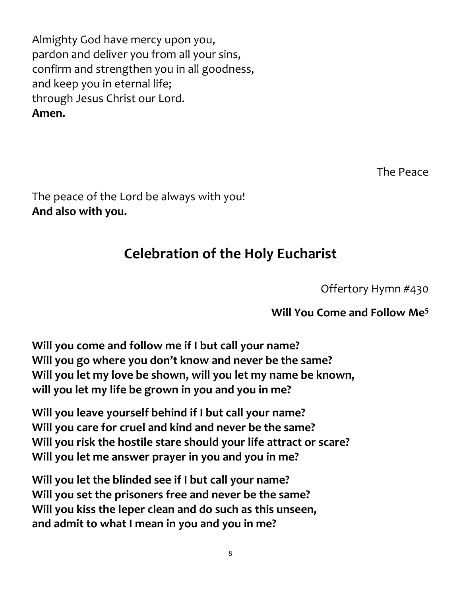Almighty God have mercy upon you, pardon and deliver you from all your sins, confirm and strengthen you in all goodness, and keep you in eternal life; through Jesus Christ our Lord. **Amen.**

The Peace

The peace of the Lord be always with you! **And also with you.**

## **Celebration of the Holy Eucharist**

Offertory Hymn #430

**Will You Come and Follow Me<sup>5</sup>**

**Will you come and follow me if I but call your name? Will you go where you don't know and never be the same? Will you let my love be shown, will you let my name be known, will you let my life be grown in you and you in me?**

**Will you leave yourself behind if I but call your name? Will you care for cruel and kind and never be the same? Will you risk the hostile stare should your life attract or scare? Will you let me answer prayer in you and you in me?**

**Will you let the blinded see if I but call your name? Will you set the prisoners free and never be the same? Will you kiss the leper clean and do such as this unseen, and admit to what I mean in you and you in me?**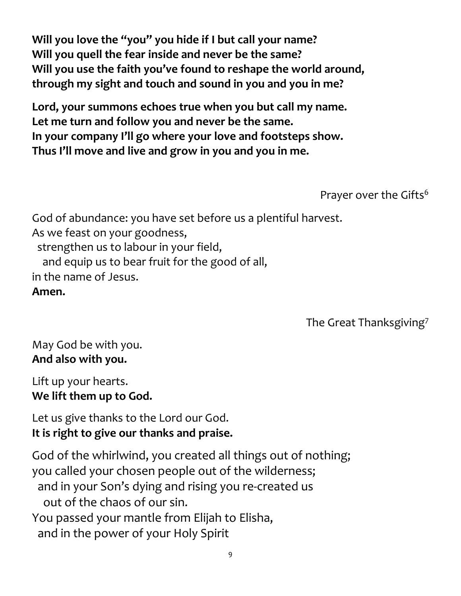**Will you love the "you" you hide if I but call your name? Will you quell the fear inside and never be the same? Will you use the faith you've found to reshape the world around, through my sight and touch and sound in you and you in me?**

**Lord, your summons echoes true when you but call my name. Let me turn and follow you and never be the same. In your company I'll go where your love and footsteps show. Thus I'll move and live and grow in you and you in me.**

Prayer over the Gifts<sup>6</sup>

God of abundance: you have set before us a plentiful harvest. As we feast on your goodness, strengthen us to labour in your field, and equip us to bear fruit for the good of all, in the name of Jesus. **Amen.**

The Great Thanksgiving<sup>7</sup>

May God be with you. **And also with you.**

Lift up your hearts. **We lift them up to God.**

Let us give thanks to the Lord our God. **It is right to give our thanks and praise.** 

God of the whirlwind, you created all things out of nothing; you called your chosen people out of the wilderness; and in your Son's dying and rising you re-created us out of the chaos of our sin. You passed your mantle from Elijah to Elisha,

and in the power of your Holy Spirit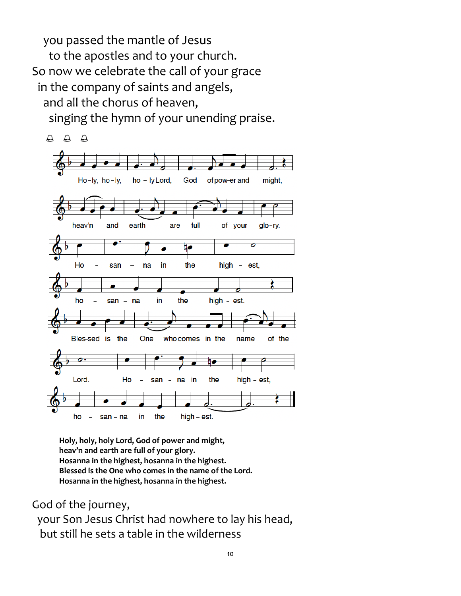you passed the mantle of Jesus to the apostles and to your church. So now we celebrate the call of your grace in the company of saints and angels, and all the chorus of heaven,

singing the hymn of your unending praise.



**Holy, holy, holy Lord, God of power and might, heav'n and earth are full of your glory. Hosanna in the highest, hosanna in the highest. Blessed is the One who comes in the name of the Lord. Hosanna in the highest, hosanna in the highest.**

God of the journey,

 your Son Jesus Christ had nowhere to lay his head, but still he sets a table in the wilderness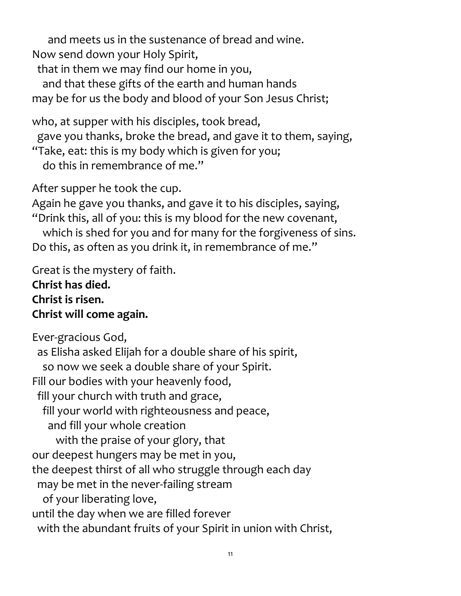and meets us in the sustenance of bread and wine. Now send down your Holy Spirit,

that in them we may find our home in you,

and that these gifts of the earth and human hands

may be for us the body and blood of your Son Jesus Christ;

who, at supper with his disciples, took bread,

gave you thanks, broke the bread, and gave it to them, saying,

"Take, eat: this is my body which is given for you; do this in remembrance of me."

After supper he took the cup.

Again he gave you thanks, and gave it to his disciples, saying, "Drink this, all of you: this is my blood for the new covenant, which is shed for you and for many for the forgiveness of sins. Do this, as often as you drink it, in remembrance of me."

Great is the mystery of faith. **Christ has died. Christ is risen. Christ will come again.**

Ever-gracious God, as Elisha asked Elijah for a double share of his spirit, so now we seek a double share of your Spirit. Fill our bodies with your heavenly food, fill your church with truth and grace, fill your world with righteousness and peace, and fill your whole creation with the praise of your glory, that our deepest hungers may be met in you, the deepest thirst of all who struggle through each day may be met in the never-failing stream of your liberating love, until the day when we are filled forever with the abundant fruits of your Spirit in union with Christ,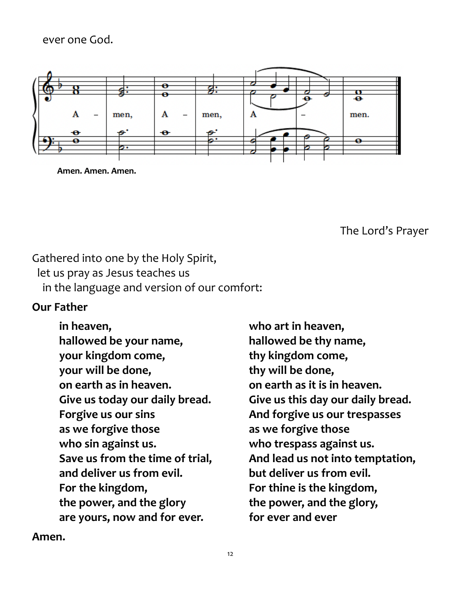

**Amen. Amen. Amen.**

The Lord's Prayer

Gathered into one by the Holy Spirit,

let us pray as Jesus teaches us

in the language and version of our comfort:

#### **Our Father**

**in heaven, who art in heaven, hallowed be your name, hallowed be thy name, your kingdom come, thy kingdom come, your will be done, thy will be done, on earth as in heaven. on earth as it is in heaven. Forgive us our sins And forgive us our trespasses as we forgive those as we forgive those who sin against us. who trespass against us. and deliver us from evil. but deliver us from evil. For the kingdom, For thine is the kingdom, the power, and the glory the power, and the glory, are yours, now and for ever. for ever and ever**

**Give us today our daily bread. Give us this day our daily bread. Save us from the time of trial, And lead us not into temptation,**

#### **Amen.**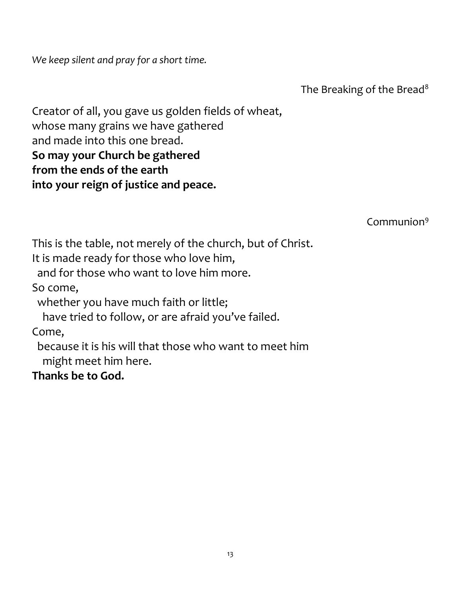*We keep silent and pray for a short time.*

The Breaking of the Bread<sup>8</sup>

Creator of all, you gave us golden fields of wheat, whose many grains we have gathered and made into this one bread. **So may your Church be gathered from the ends of the earth into your reign of justice and peace.**

Communion<sup>9</sup>

This is the table, not merely of the church, but of Christ. It is made ready for those who love him, and for those who want to love him more.

So come,

whether you have much faith or little;

have tried to follow, or are afraid you've failed.

Come,

 because it is his will that those who want to meet him might meet him here.

#### **Thanks be to God.**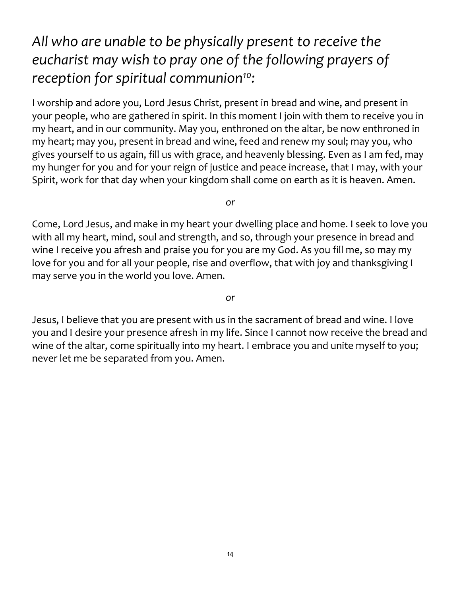## *All who are unable to be physically present to receive the eucharist may wish to pray one of the following prayers of reception for spiritual communion<sup>10</sup>:*

I worship and adore you, Lord Jesus Christ, present in bread and wine, and present in your people, who are gathered in spirit. In this moment I join with them to receive you in my heart, and in our community. May you, enthroned on the altar, be now enthroned in my heart; may you, present in bread and wine, feed and renew my soul; may you, who gives yourself to us again, fill us with grace, and heavenly blessing. Even as I am fed, may my hunger for you and for your reign of justice and peace increase, that I may, with your Spirit, work for that day when your kingdom shall come on earth as it is heaven. Amen.

*or*

Come, Lord Jesus, and make in my heart your dwelling place and home. I seek to love you with all my heart, mind, soul and strength, and so, through your presence in bread and wine I receive you afresh and praise you for you are my God. As you fill me, so may my love for you and for all your people, rise and overflow, that with joy and thanksgiving I may serve you in the world you love. Amen.

*or*

Jesus, I believe that you are present with us in the sacrament of bread and wine. I love you and I desire your presence afresh in my life. Since I cannot now receive the bread and wine of the altar, come spiritually into my heart. I embrace you and unite myself to you; never let me be separated from you. Amen.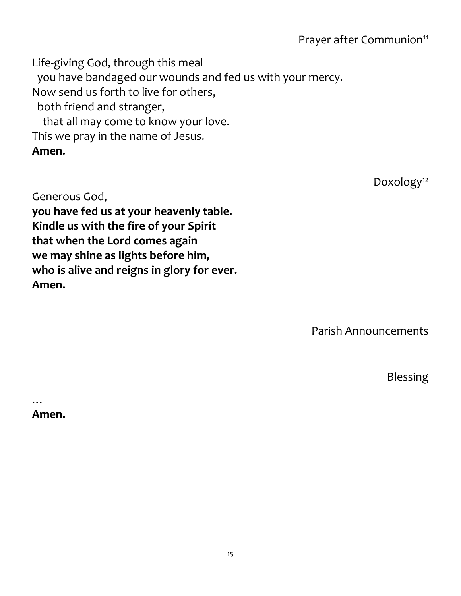#### Prayer after Communion<sup>11</sup>

Life-giving God, through this meal you have bandaged our wounds and fed us with your mercy. Now send us forth to live for others, both friend and stranger, that all may come to know your love. This we pray in the name of Jesus.

**Amen.**

Doxology<sup>12</sup>

Generous God, **you have fed us at your heavenly table. Kindle us with the fire of your Spirit that when the Lord comes again we may shine as lights before him, who is alive and reigns in glory for ever. Amen.**

Parish Announcements

Blessing

**Amen.**

…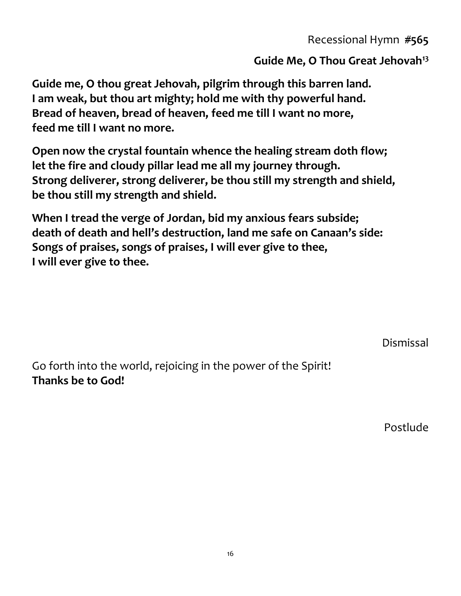#### Recessional Hymn **#565**

#### **Guide Me, O Thou Great Jehovah<sup>13</sup>**

**Guide me, O thou great Jehovah, pilgrim through this barren land. I am weak, but thou art mighty; hold me with thy powerful hand. Bread of heaven, bread of heaven, feed me till I want no more, feed me till I want no more.**

**Open now the crystal fountain whence the healing stream doth flow; let the fire and cloudy pillar lead me all my journey through. Strong deliverer, strong deliverer, be thou still my strength and shield, be thou still my strength and shield.**

**When I tread the verge of Jordan, bid my anxious fears subside; death of death and hell's destruction, land me safe on Canaan's side: Songs of praises, songs of praises, I will ever give to thee, I will ever give to thee.**

Dismissal

Go forth into the world, rejoicing in the power of the Spirit! **Thanks be to God!**

Postlude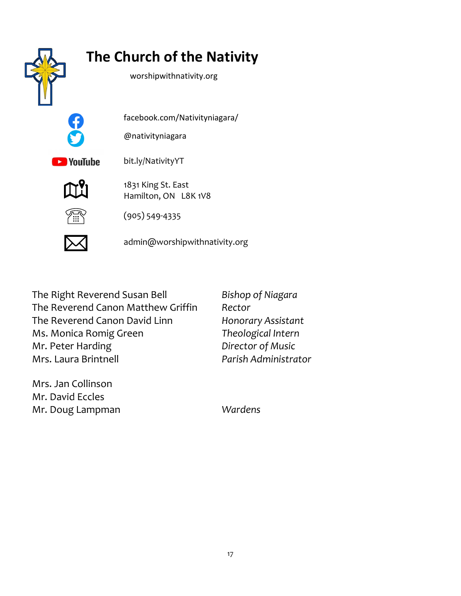

The Right Reverend Susan Bell *Bishop of Niagara* The Reverend Canon Matthew Griffin *Rector* The Reverend Canon David Linn *Honorary Assistant* Ms. Monica Romig Green *Theological Intern* Mr. Peter Harding *Director of Music* Mrs. Laura Brintnell *Parish Administrator*

Mrs. Jan Collinson Mr. David Eccles Mr. Doug Lampman *Wardens*